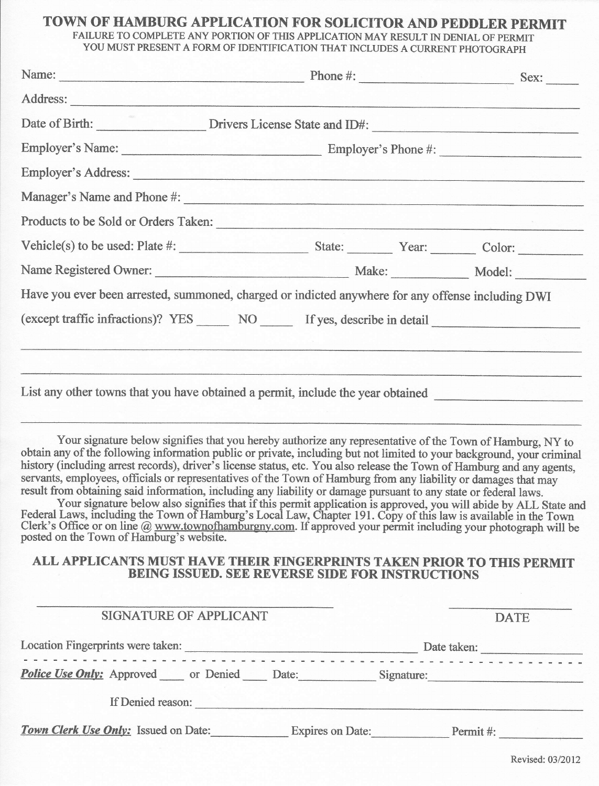# TOWN OF HAMBURG APPLICATION FOR SOLICITOR AND PEDDLER PERMIT

FAILURE TO COMPLETE ANY PORTION OF THIS APPLICATION MAY RESULT IN DENIAL OF PERMIT YOU MUST PRESENT A FORM OF IDENTIFICATION THAT INCLUDES A CURRENT PHOTOGRAPH

|                                          | Name: Sex: Sex:                                                                                                                                                                                                                                                                                                                                                                                                                                                                                                                                                                                                                                                                                                                                                                                                                                                                                                                                               |  |  |
|------------------------------------------|---------------------------------------------------------------------------------------------------------------------------------------------------------------------------------------------------------------------------------------------------------------------------------------------------------------------------------------------------------------------------------------------------------------------------------------------------------------------------------------------------------------------------------------------------------------------------------------------------------------------------------------------------------------------------------------------------------------------------------------------------------------------------------------------------------------------------------------------------------------------------------------------------------------------------------------------------------------|--|--|
|                                          |                                                                                                                                                                                                                                                                                                                                                                                                                                                                                                                                                                                                                                                                                                                                                                                                                                                                                                                                                               |  |  |
|                                          | Date of Birth: Drivers License State and ID#:                                                                                                                                                                                                                                                                                                                                                                                                                                                                                                                                                                                                                                                                                                                                                                                                                                                                                                                 |  |  |
|                                          |                                                                                                                                                                                                                                                                                                                                                                                                                                                                                                                                                                                                                                                                                                                                                                                                                                                                                                                                                               |  |  |
|                                          | Employer's Address:                                                                                                                                                                                                                                                                                                                                                                                                                                                                                                                                                                                                                                                                                                                                                                                                                                                                                                                                           |  |  |
|                                          | Manager's Name and Phone #:                                                                                                                                                                                                                                                                                                                                                                                                                                                                                                                                                                                                                                                                                                                                                                                                                                                                                                                                   |  |  |
|                                          | Products to be Sold or Orders Taken:                                                                                                                                                                                                                                                                                                                                                                                                                                                                                                                                                                                                                                                                                                                                                                                                                                                                                                                          |  |  |
|                                          |                                                                                                                                                                                                                                                                                                                                                                                                                                                                                                                                                                                                                                                                                                                                                                                                                                                                                                                                                               |  |  |
|                                          |                                                                                                                                                                                                                                                                                                                                                                                                                                                                                                                                                                                                                                                                                                                                                                                                                                                                                                                                                               |  |  |
|                                          | Have you ever been arrested, summoned, charged or indicted anywhere for any offense including DWI                                                                                                                                                                                                                                                                                                                                                                                                                                                                                                                                                                                                                                                                                                                                                                                                                                                             |  |  |
|                                          | (except traffic infractions)? YES _______ NO _______ If yes, describe in detail ___________________                                                                                                                                                                                                                                                                                                                                                                                                                                                                                                                                                                                                                                                                                                                                                                                                                                                           |  |  |
|                                          |                                                                                                                                                                                                                                                                                                                                                                                                                                                                                                                                                                                                                                                                                                                                                                                                                                                                                                                                                               |  |  |
|                                          |                                                                                                                                                                                                                                                                                                                                                                                                                                                                                                                                                                                                                                                                                                                                                                                                                                                                                                                                                               |  |  |
|                                          | List any other towns that you have obtained a permit, include the year obtained                                                                                                                                                                                                                                                                                                                                                                                                                                                                                                                                                                                                                                                                                                                                                                                                                                                                               |  |  |
|                                          |                                                                                                                                                                                                                                                                                                                                                                                                                                                                                                                                                                                                                                                                                                                                                                                                                                                                                                                                                               |  |  |
| posted on the Town of Hamburg's website. | Your signature below signifies that you hereby authorize any representative of the Town of Hamburg, NY to<br>obtain any of the following information public or private, including but not limited to your background, your criminal<br>history (including arrest records), driver's license status, etc. You also release the Town of Hamburg and any agents,<br>servants, employees, officials or representatives of the Town of Hamburg from any liability or damages that may<br>result from obtaining said information, including any liability or damage pursuant to any state or federal laws.<br>Your signature below also signifies that if this permit application is approved, you will abide by ALL State and<br>Federal Laws, including the Town of Hamburg's Local Law, Chapter 191. Copy of this law is available in the Town<br>Clerk's Office or on line @ www.townofhamburgny.com. If approved your permit including your photograph will be |  |  |

#### ALL APPLICANTS MUST HAVE THEIR FINGERPRINTS TAKEN PRIOR TO THIS PERMIT BEING ISSUED. SEE REVERSE SIDE FOR INSTRUCTIONS

| SIGNATURE OF APPLICANT                           |                         | <b>DATE</b> |  |
|--------------------------------------------------|-------------------------|-------------|--|
| Location Fingerprints were taken:                |                         | Date taken: |  |
| <b>Police Use Only:</b> Approved or Denied Date: |                         | Signature:  |  |
| If Denied reason:                                |                         |             |  |
| Town Clerk Use Only: Issued on Date:             | <b>Expires on Date:</b> | Permit#:    |  |

Revised: 03/2012